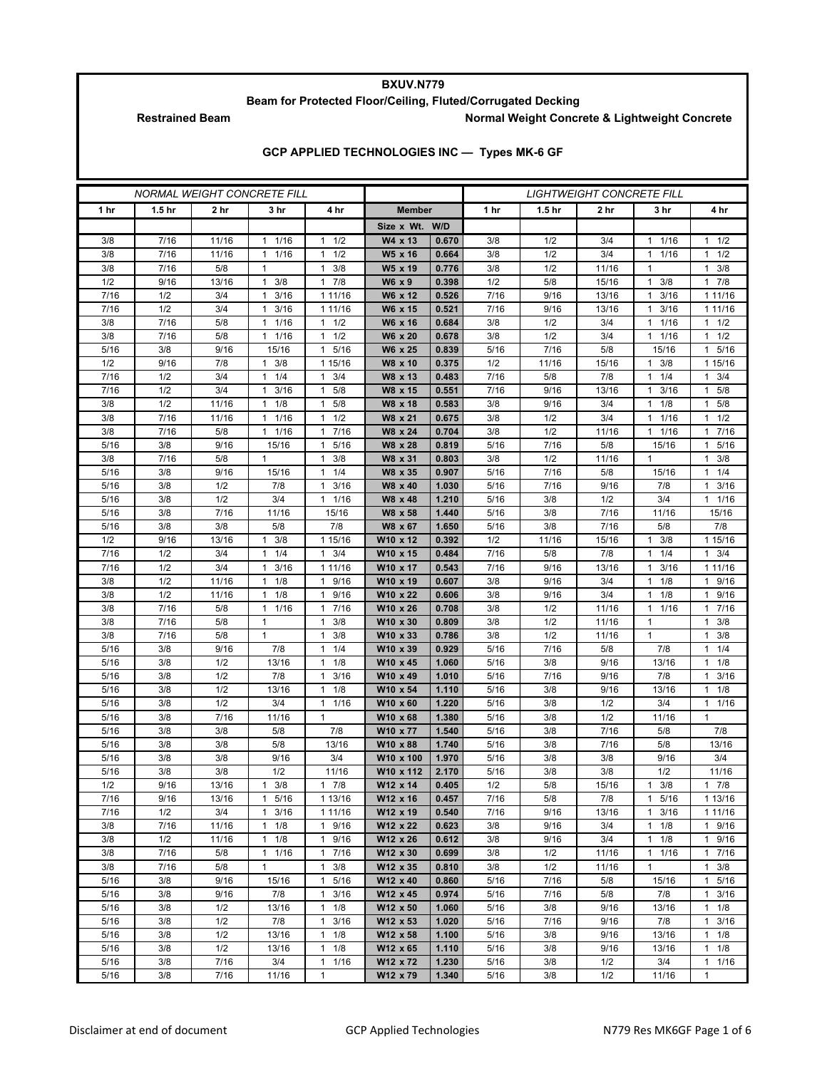## **BXUV.N779**

**Beam for Protected Floor/Ceiling, Fluted/Corrugated Decking**

Restrained Beam **Normal Weight Concrete & Lightweight Concrete** 

|  | GCP APPLIED TECHNOLOGIES INC - Types MK-6 GF |  |
|--|----------------------------------------------|--|
|--|----------------------------------------------|--|

| <b>NORMAL WEIGHT CONCRETE FILL</b> |                   |              |                        |                                            | <b>LIGHTWEIGHT CONCRETE FILL</b> |                |              |                   |              |                       |                      |
|------------------------------------|-------------------|--------------|------------------------|--------------------------------------------|----------------------------------|----------------|--------------|-------------------|--------------|-----------------------|----------------------|
| 1 <sub>hr</sub>                    | 1.5 <sub>hr</sub> | 2 hr         | 3 hr                   | 4 hr                                       | <b>Member</b>                    |                | 1 hr         | 1.5 <sub>hr</sub> | 2 hr         | 3 hr                  | 4 hr                 |
|                                    |                   |              |                        |                                            | Size x Wt. W/D                   |                |              |                   |              |                       |                      |
| 3/8                                | 7/16              | 11/16        | 1 1/16                 | $1 \t1/2$                                  | W4 x 13                          | 0.670          | 3/8          | 1/2               | 3/4          | 1 1/16                | $1 \t1/2$            |
| 3/8                                | 7/16              | 11/16        | 1/16<br>1              | 1/2<br>1                                   | W5 x 16                          | 0.664          | 3/8          | 1/2               | 3/4          | 1/16<br>1             | 1/2<br>1             |
| 3/8                                | 7/16              | 5/8          | $\mathbf{1}$           | 3/8<br>$\mathbf{1}$                        | W5 x 19                          | 0.776          | 3/8          | 1/2               | 11/16        | $\mathbf{1}$          | 3/8<br>$\mathbf{1}$  |
| 1/2                                | 9/16              | 13/16        | $1 \t3/8$              | $\mathbf{1}$<br>7/8                        | W6 x 9                           | 0.398          | 1/2          | 5/8               | 15/16        | 1<br>3/8              | 17/8                 |
| 7/16                               | 1/2               | 3/4          | 3/16<br>1              | 1 11/16                                    | W6 x 12                          | 0.526          | 7/16         | 9/16              | 13/16        | 3/16<br>1             | 1 1 1 / 1 6          |
| 7/16                               | 1/2               | 3/4          | 3/16<br>1              | 1 11/16                                    | W6 x 15                          | 0.521          | 7/16         | 9/16              | 13/16        | 3/16<br>1             | 1 1 1 / 1 6          |
| 3/8                                | 7/16              | 5/8          | 1/16<br>$\mathbf{1}$   | 1/2<br>$\mathbf{1}$                        | W6 x 16                          | 0.684          | 3/8          | 1/2               | 3/4          | 1/16<br>1             | $1 \t1/2$            |
| 3/8                                | 7/16              | 5/8          | 1/16<br>1              | 1/2<br>1                                   | W6 x 20                          | 0.678          | 3/8          | 1/2               | 3/4          | $\frac{1}{1}$<br>1    | 1/2<br>1             |
| 5/16                               | 3/8               | 9/16         | 15/16                  | 5/16<br>$\mathbf{1}$                       | W6 x 25                          | 0.839          | 5/16         | 7/16              | 5/8          | 15/16                 | 5/16<br>$\mathbf{1}$ |
| 1/2                                | 9/16              | 7/8          | 3/8<br>1               | 1 15/16                                    | W8 x 10                          | 0.375          | 1/2          | 11/16             | 15/16        | 3/8<br>1              | 1 15/16              |
| 7/16                               | 1/2               | 3/4          | 1/4<br>1               | 3/4<br>1                                   | W8 x 13                          | 0.483<br>0.551 | 7/16         | 5/8               | 7/8<br>13/16 | 1/4<br>1              | 3/4<br>1<br>1        |
| 7/16<br>3/8                        | 1/2<br>1/2        | 3/4<br>11/16 | 3/16<br>1<br>1/8<br>1  | 5/8<br>$\mathbf{1}$<br>5/8<br>$\mathbf{1}$ | W8 x 15<br>W8 x 18               | 0.583          | 7/16<br>3/8  | 9/16<br>9/16      | 3/4          | 3/16<br>1<br>1/8<br>1 | 5/8<br>5/8<br>1      |
| 3/8                                | 7/16              | 11/16        | 1/16<br>1              | 1/2<br>$\mathbf{1}$                        | W8 x 21                          | 0.675          | 3/8          | 1/2               | 3/4          | 1/16<br>1             | 1/2<br>1             |
| 3/8                                | 7/16              | 5/8          | 1/16<br>$\mathbf{1}$   | 7/16<br>1                                  | W8 x 24                          | 0.704          | 3/8          | 1/2               | 11/16        | 1/16<br>1             | 7/16<br>1            |
| 5/16                               | 3/8               | 9/16         | 15/16                  | 5/16<br>$\mathbf{1}$                       | W8 x 28                          | 0.819          | 5/16         | 7/16              | 5/8          | 15/16                 | 5/16<br>1            |
| 3/8                                | 7/16              | 5/8          | 1                      | 3/8<br>$\mathbf{1}$                        | W8 x 31                          | 0.803          | 3/8          | 1/2               | 11/16        | 1                     | 3/8<br>1             |
| 5/16                               | 3/8               | 9/16         | 15/16                  | 1/4<br>$\mathbf{1}$                        | W8 x 35                          | 0.907          | 5/16         | 7/16              | 5/8          | 15/16                 | 1/4<br>1             |
| 5/16                               | 3/8               | 1/2          | 7/8                    | 3/16<br>$\mathbf{1}$                       | W8 x 40                          | 1.030          | 5/16         | 7/16              | 9/16         | 7/8                   | 3/16<br>$\mathbf{1}$ |
| 5/16                               | 3/8               | 1/2          | 3/4                    | 1/16<br>$\mathbf{1}$                       | W8 x 48                          | 1.210          | 5/16         | 3/8               | 1/2          | 3/4                   | 1/16<br>1            |
| 5/16                               | 3/8               | 7/16         | 11/16                  | 15/16                                      | W8 x 58                          | 1.440          | 5/16         | 3/8               | 7/16         | 11/16                 | 15/16                |
| 5/16                               | 3/8               | 3/8          | 5/8                    | 7/8                                        | W8 x 67                          | 1.650          | 5/16         | 3/8               | 7/16         | 5/8                   | 7/8                  |
| 1/2                                | 9/16              | 13/16        | $1 \t3/8$              | 1 15/16                                    | W10 x 12                         | 0.392          | 1/2          | 11/16             | 15/16        | 3/8<br>$\mathbf{1}$   | 1 15/16              |
| 7/16                               | 1/2               | 3/4          | 1/4<br>1               | 3/4<br>1                                   | W10 x 15                         | 0.484          | 7/16         | 5/8               | 7/8          | 1/4<br>1              | 3/4<br>1             |
| 7/16                               | 1/2               | 3/4          | 3/16<br>1              | 1 11/16                                    | W10 x 17                         | 0.543          | 7/16         | 9/16              | 13/16        | 3/16<br>1             | 1 1 1 / 16           |
| 3/8                                | 1/2               | 11/16        | $1 \t1/8$              | 9/16<br>$\mathbf{1}$                       | W10 x 19                         | 0.607          | 3/8          | 9/16              | 3/4          | 1/8<br>1              | 1 9/16               |
| 3/8                                | 1/2               | 11/16        | 1/8<br>1               | 9/16<br>$\mathbf{1}$                       | W10 x 22                         | 0.606          | 3/8          | 9/16              | 3/4          | 1/8<br>1              | 9/16<br>1            |
| 3/8                                | 7/16              | 5/8          | 1/16<br>$\mathbf{1}$   | 7/16<br>$\mathbf{1}$                       | W10 x 26                         | 0.708          | 3/8          | 1/2               | 11/16        | 1/16<br>1             | 7/16<br>$\mathbf{1}$ |
| 3/8                                | 7/16              | 5/8          | $\mathbf{1}$           | $\mathbf{1}$<br>3/8                        | W10 x 30                         | 0.809          | 3/8          | 1/2               | 11/16        | 1                     | $\mathbf{1}$<br>3/8  |
| 3/8                                | 7/16              | 5/8          | $\mathbf{1}$           | 3/8<br>$\mathbf{1}$                        | W10 x 33                         | 0.786          | 3/8          | 1/2               | 11/16        | 1                     | 3/8<br>1<br>1        |
| 5/16<br>5/16                       | 3/8<br>3/8        | 9/16<br>1/2  | 7/8<br>13/16           | 1/4<br>$\mathbf{1}$<br>$\mathbf{1}$<br>1/8 | W10 x 39<br>W10 x 45             | 0.929<br>1.060 | 5/16<br>5/16 | 7/16<br>3/8       | 5/8<br>9/16  | 7/8<br>13/16          | 1/4<br>1/8<br>1      |
| 5/16                               | 3/8               | 1/2          | 7/8                    | 3/16<br>$\mathbf{1}$                       | W10 x 49                         | 1.010          | 5/16         | 7/16              | 9/16         | 7/8                   | 3/16<br>1            |
| 5/16                               | 3/8               | 1/2          | 13/16                  | 1/8<br>$\mathbf{1}$                        | W10 x 54                         | 1.110          | 5/16         | 3/8               | 9/16         | 13/16                 | 1/8<br>1             |
| 5/16                               | 3/8               | 1/2          | 3/4                    | $\mathbf{1}$<br>1/16                       | W10 x 60                         | 1.220          | 5/16         | 3/8               | 1/2          | 3/4                   | 1/16<br>1            |
| 5/16                               | 3/8               | 7/16         | 11/16                  | $\mathbf{1}$                               | W10 x 68                         | 1.380          | 5/16         | 3/8               | 1/2          | 11/16                 | 1                    |
| 5/16                               | 3/8               | 3/8          | 5/8                    | 7/8                                        | W10 x 77                         | 1.540          | 5/16         | 3/8               | 7/16         | 5/8                   | 7/8                  |
| 5/16                               | 3/8               | 3/8          | 5/8                    | 13/16                                      | W10 x 88                         | 1.740          | 5/16         | 3/8               | 7/16         | 5/8                   | 13/16                |
| 5/16                               | 3/8               | 3/8          | 9/16                   | 3/4                                        | W10 x 100                        | 1.970          | 5/16         | 3/8               | 3/8          | 9/16                  | 3/4                  |
| 5/16                               | 3/8               | 3/8          | 1/2                    | 11/16                                      | W10 x 112                        | 2.170          | 5/16         | 3/8               | 3/8          | 1/2                   | 11/16                |
| 1/2                                | 9/16              | 13/16        | 3/8<br>1               | 17/8                                       | W12 x 14                         | 0.405          | 1/2          | 5/8               | 15/16        | 3/8<br>1              | 7/8<br>1             |
| 7/16                               | 9/16              | 13/16        | 1 5/16                 | 1 13/16                                    | W12 x 16                         | 0.457          | 7/16         | 5/8               | 7/8          | 5/16<br>$\mathbf{1}$  | 1 13/16              |
| 7/16                               | 1/2               | 3/4          | 3/16<br>$\mathbf{1}$   | 1 11/16                                    | W12 x 19                         | 0.540          | 7/16         | 9/16              | 13/16        | 3/16                  | 1 1 1 / 16           |
| 3/8                                | 7/16              | 11/16        | $1 \t1/8$              | 1 9/16                                     | W12 x 22                         | 0.623          | 3/8          | 9/16              | 3/4          | 1/8<br>$\mathbf{1}$   | 1 9/16               |
| 3/8                                | 1/2               | 11/16        | $1 \t1/8$              | 9/16<br>$\mathbf{1}$                       | W12 x 26                         | 0.612          | 3/8          | 9/16              | 3/4          | 1/8<br>1              | 1 9/16               |
| 3/8                                | 7/16              | 5/8          | $1/16$<br>$\mathbf{1}$ | 7/16<br>$\mathbf{1}$                       | W12 x 30                         | 0.699          | 3/8          | 1/2               | 11/16        | 1<br>1/16             | 7/16<br>1            |
| 3/8<br>5/16                        | 7/16              | 5/8          | $\mathbf{1}$           | 3/8<br>$\mathbf{1}$                        | W12 x 35<br>W12 x 40             | 0.810<br>0.860 | 3/8          | 1/2               | 11/16        | $\mathbf{1}$          | 3/8<br>$\mathbf{1}$  |
| 5/16                               | 3/8<br>3/8        | 9/16<br>9/16 | 15/16<br>7/8           | 1 5/16<br>3/16<br>1                        | W12 x 45                         | 0.974          | 5/16<br>5/16 | 7/16<br>7/16      | 5/8<br>5/8   | 15/16<br>7/8          | 1 5/16<br>3/16<br>1  |
| 5/16                               | 3/8               | 1/2          | 13/16                  | $\mathbf{1}$<br>1/8                        | W12 x 50                         | 1.060          | 5/16         | 3/8               | 9/16         | 13/16                 | 1/8<br>$\mathbf{1}$  |
| 5/16                               | 3/8               | 1/2          | 7/8                    | 3/16<br>$\mathbf{1}$                       | W12 x 53                         | 1.020          | 5/16         | 7/16              | 9/16         | 7/8                   | $1 \t3/16$           |
| 5/16                               | 3/8               | 1/2          | 13/16                  | 1/8<br>$\mathbf{1}$                        | W12 x 58                         | 1.100          | 5/16         | 3/8               | 9/16         | 13/16                 | 1/8<br>$\mathbf{1}$  |
| 5/16                               | 3/8               | 1/2          | 13/16                  | $\mathbf{1}$<br>1/8                        | W12 x 65                         | 1.110          | 5/16         | 3/8               | 9/16         | 13/16                 | 1/8<br>$\mathbf{1}$  |
| 5/16                               | 3/8               | 7/16         | 3/4                    | $\mathbf{1}$<br>1/16                       | W12 x 72                         | 1.230          | 5/16         | 3/8               | 1/2          | 3/4                   | $1 \t1/16$           |
| 5/16                               | 3/8               | 7/16         | 11/16                  | 1                                          | W12 x 79                         | 1.340          | 5/16         | 3/8               | 1/2          | 11/16                 | $\mathbf{1}$         |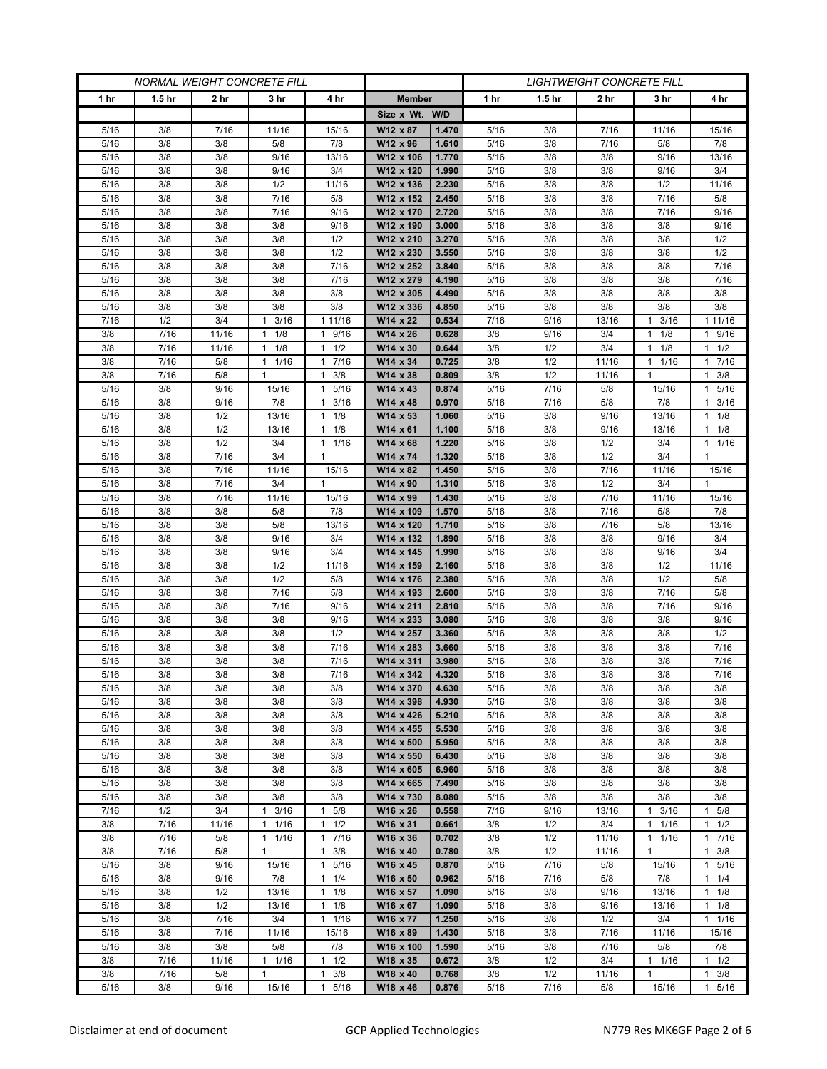| <b>NORMAL WEIGHT CONCRETE FILL</b> |                   |              |                     | <i>LIGHTWEIGHT CONCRETE FILL</i> |                        |                |              |                   |             |                      |                       |
|------------------------------------|-------------------|--------------|---------------------|----------------------------------|------------------------|----------------|--------------|-------------------|-------------|----------------------|-----------------------|
| 1 <sub>hr</sub>                    | 1.5 <sub>hr</sub> | 2 hr         | 3 hr                | 4 hr                             | <b>Member</b>          |                | 1 hr         | 1.5 <sub>hr</sub> | 2 hr        | 3 hr                 | 4 hr                  |
|                                    |                   |              |                     |                                  | Size x Wt. W/D         |                |              |                   |             |                      |                       |
| 5/16                               | 3/8               | 7/16         | 11/16               | 15/16                            | W12 x 87               | 1.470          | 5/16         | 3/8               | 7/16        | 11/16                | 15/16                 |
| 5/16                               | 3/8               | 3/8          | 5/8                 | 7/8                              | W12 x 96               | 1.610          | 5/16         | 3/8               | 7/16        | 5/8                  | 7/8                   |
| 5/16                               | 3/8               | 3/8          | 9/16                | 13/16                            | W12 x 106              | 1.770          | 5/16         | 3/8               | 3/8         | 9/16                 | 13/16                 |
| 5/16                               | 3/8               | 3/8          | 9/16                | 3/4                              | W12 x 120              | 1.990          | 5/16         | 3/8               | 3/8         | 9/16                 | 3/4                   |
| 5/16                               | 3/8               | 3/8          | 1/2                 | 11/16                            | W12 x 136              | 2.230          | 5/16         | 3/8               | 3/8         | 1/2                  | 11/16                 |
| 5/16                               | 3/8               | 3/8          | 7/16                | 5/8                              | W12 x 152              | 2.450          | 5/16         | 3/8               | 3/8         | 7/16                 | 5/8                   |
| 5/16                               | 3/8               | 3/8          | 7/16                | 9/16                             | W12 x 170              | 2.720          | 5/16         | 3/8               | 3/8         | 7/16                 | 9/16                  |
| 5/16                               | 3/8<br>3/8        | 3/8          | 3/8                 | 9/16                             | W12 x 190<br>W12 x 210 | 3.000<br>3.270 | 5/16         | 3/8               | 3/8         | 3/8<br>3/8           | 9/16                  |
| 5/16<br>5/16                       | 3/8               | 3/8<br>3/8   | 3/8<br>3/8          | 1/2<br>1/2                       | W12 x 230              | 3.550          | 5/16<br>5/16 | 3/8<br>3/8        | 3/8<br>3/8  | 3/8                  | 1/2<br>1/2            |
| 5/16                               | 3/8               | 3/8          | 3/8                 | 7/16                             | W12 x 252              | 3.840          | 5/16         | 3/8               | 3/8         | 3/8                  | 7/16                  |
| 5/16                               | 3/8               | 3/8          | 3/8                 | 7/16                             | W12 x 279              | 4.190          | 5/16         | 3/8               | 3/8         | 3/8                  | 7/16                  |
| 5/16                               | 3/8               | 3/8          | 3/8                 | 3/8                              | W12 x 305              | 4.490          | 5/16         | 3/8               | 3/8         | 3/8                  | 3/8                   |
| 5/16                               | 3/8               | 3/8          | 3/8                 | 3/8                              | W12 x 336              | 4.850          | 5/16         | 3/8               | 3/8         | 3/8                  | 3/8                   |
| 7/16                               | 1/2               | 3/4          | 3/16<br>1           | 1 11/16                          | W14 x 22               | 0.534          | 7/16         | 9/16              | 13/16       | 3/16<br>1            | 1 1 1 / 16            |
| 3/8                                | 7/16              | 11/16        | 1/8<br>$\mathbf{1}$ | 9/16<br>$\mathbf{1}$             | W14 x 26               | 0.628          | 3/8          | 9/16              | 3/4         | 1/8<br>1             | 1 9/16                |
| 3/8                                | 7/16              | 11/16        | 1/8<br>$\mathbf{1}$ | 1/2<br>$\mathbf{1}$              | W14 x 30               | 0.644          | 3/8          | 1/2               | 3/4         | 1/8<br>1             | $1 \t1/2$             |
| 3/8                                | 7/16              | 5/8          | 11/16               | 7/16<br>$\mathbf{1}$             | W14 x 34               | 0.725          | 3/8          | 1/2               | 11/16       | $1 \t1/16$           | 17/16                 |
| 3/8                                | 7/16              | 5/8          | $\mathbf{1}$        | 3/8<br>1                         | W14 x 38               | 0.809          | 3/8          | 1/2               | 11/16       | 1                    | $1 \t3/8$             |
| 5/16                               | 3/8               | 9/16         | 15/16               | 5/16<br>$\mathbf{1}$             | W14 x 43               | 0.874          | 5/16         | 7/16              | 5/8         | 15/16                | 5/16<br>$\mathbf{1}$  |
| 5/16                               | 3/8               | 9/16         | 7/8                 | 3/16<br>$\mathbf{1}$             | W14 x 48               | 0.970          | 5/16         | 7/16              | 5/8         | 7/8                  | $1 \t3/16$            |
| 5/16                               | 3/8               | 1/2          | 13/16               | 1/8<br>1                         | W14 x 53               | 1.060          | 5/16         | 3/8               | 9/16        | 13/16                | $1 \t1/8$             |
| 5/16                               | 3/8               | 1/2          | 13/16               | 1/8<br>1                         | W14 x 61               | 1.100          | 5/16         | 3/8               | 9/16        | 13/16                | $1 \t1/8$             |
| 5/16                               | 3/8               | 1/2          | 3/4                 | 1/16<br>$\mathbf{1}$             | W14 x 68               | 1.220          | 5/16         | 3/8               | 1/2         | 3/4                  | 11/16                 |
| 5/16                               | 3/8               | 7/16         | 3/4                 | 1                                | W14 x 74               | 1.320          | 5/16         | 3/8               | 1/2         | 3/4                  | 1                     |
| 5/16<br>5/16                       | 3/8<br>3/8        | 7/16<br>7/16 | 11/16<br>3/4        | 15/16<br>$\mathbf{1}$            | W14 x 82<br>W14 x 90   | 1.450<br>1.310 | 5/16<br>5/16 | 3/8<br>3/8        | 7/16<br>1/2 | 11/16<br>3/4         | 15/16<br>$\mathbf{1}$ |
| 5/16                               | 3/8               | 7/16         | 11/16               | 15/16                            | W14 x 99               | 1.430          | 5/16         | 3/8               | 7/16        | 11/16                | 15/16                 |
| 5/16                               | 3/8               | 3/8          | 5/8                 | 7/8                              | W14 x 109              | 1.570          | 5/16         | 3/8               | 7/16        | 5/8                  | 7/8                   |
| 5/16                               | 3/8               | 3/8          | 5/8                 | 13/16                            | W14 x 120              | 1.710          | 5/16         | 3/8               | 7/16        | 5/8                  | 13/16                 |
| 5/16                               | 3/8               | 3/8          | 9/16                | 3/4                              | W14 x 132              | 1.890          | 5/16         | 3/8               | 3/8         | 9/16                 | 3/4                   |
| 5/16                               | 3/8               | 3/8          | 9/16                | 3/4                              | W14 x 145              | 1.990          | 5/16         | 3/8               | 3/8         | 9/16                 | 3/4                   |
| 5/16                               | 3/8               | 3/8          | 1/2                 | 11/16                            | W14 x 159              | 2.160          | 5/16         | 3/8               | 3/8         | 1/2                  | 11/16                 |
| 5/16                               | 3/8               | 3/8          | 1/2                 | 5/8                              | W14 x 176              | 2.380          | 5/16         | 3/8               | 3/8         | 1/2                  | 5/8                   |
| 5/16                               | 3/8               | 3/8          | 7/16                | 5/8                              | W14 x 193              | 2.600          | 5/16         | 3/8               | 3/8         | 7/16                 | 5/8                   |
| 5/16                               | 3/8               | 3/8          | 7/16                | 9/16                             | W14 x 211              | 2.810          | 5/16         | 3/8               | 3/8         | 7/16                 | 9/16                  |
| 5/16                               | 3/8               | 3/8          | 3/8                 | 9/16                             | W14 x 233              | 3.080          | 5/16         | 3/8               | 3/8         | 3/8                  | 9/16                  |
| 5/16                               | 3/8               | 3/8          | 3/8                 | 1/2                              | W14 x 257              | 3.360          | 5/16         | 3/8               | 3/8         | 3/8                  | 1/2                   |
| 5/16                               | 3/8               | 3/8          | 3/8                 | 7/16                             | W14 x 283              | 3.660          | 5/16         | 3/8               | 3/8         | 3/8                  | 7/16                  |
| 5/16                               | 3/8               | 3/8          | 3/8                 | 7/16                             | W14 x 311              | 3.980          | 5/16         | 3/8               | 3/8         | 3/8                  | 7/16                  |
| 5/16                               | 3/8               | 3/8          | 3/8                 | 7/16                             | W14 x 342              | 4.320          | 5/16         | 3/8               | 3/8         | 3/8                  | 7/16                  |
| 5/16                               | 3/8               | 3/8          | 3/8                 | 3/8                              | W14 x 370              | 4.630          | 5/16         | 3/8               | 3/8         | 3/8                  | 3/8                   |
| 5/16<br>5/16                       | 3/8<br>3/8        | 3/8<br>3/8   | 3/8<br>3/8          | 3/8<br>3/8                       | W14 x 398<br>W14 x 426 | 4.930<br>5.210 | 5/16<br>5/16 | 3/8<br>3/8        | 3/8<br>3/8  | 3/8<br>3/8           | 3/8<br>3/8            |
| 5/16                               | 3/8               | 3/8          | 3/8                 | 3/8                              | W14 x 455              | 5.530          | 5/16         | 3/8               | 3/8         | 3/8                  | 3/8                   |
| 5/16                               | 3/8               | 3/8          | 3/8                 | 3/8                              | W14 x 500              | 5.950          | 5/16         | 3/8               | 3/8         | 3/8                  | 3/8                   |
| 5/16                               | 3/8               | 3/8          | 3/8                 | 3/8                              | W14 x 550              | 6.430          | 5/16         | 3/8               | 3/8         | 3/8                  | 3/8                   |
| 5/16                               | 3/8               | 3/8          | 3/8                 | 3/8                              | W14 x 605              | 6.960          | 5/16         | 3/8               | 3/8         | 3/8                  | 3/8                   |
| 5/16                               | 3/8               | 3/8          | 3/8                 | 3/8                              | W14 x 665              | 7.490          | 5/16         | 3/8               | 3/8         | 3/8                  | 3/8                   |
| 5/16                               | 3/8               | 3/8          | 3/8                 | 3/8                              | W14 x 730              | 8.080          | 5/16         | 3/8               | 3/8         | 3/8                  | 3/8                   |
| 7/16                               | 1/2               | 3/4          | 3/16<br>1           | 5/8<br>1                         | W16 x 26               | 0.558          | 7/16         | 9/16              | 13/16       | 3/16                 | $1 \t5/8$             |
| 3/8                                | 7/16              | 11/16        | 11/16               | $\mathbf{1}$<br>1/2              | W16 x 31               | 0.661          | 3/8          | 1/2               | 3/4         | 1/16<br>$\mathbf{1}$ | $1 \t1/2$             |
| 3/8                                | 7/16              | 5/8          | 11/16               | 7/16<br>$\mathbf{1}$             | W16 x 36               | 0.702          | 3/8          | 1/2               | 11/16       | $1 \t1/16$           | 17/16                 |
| 3/8                                | 7/16              | 5/8          | $\mathbf{1}$        | 3/8<br>$\mathbf{1}$              | W16 x 40               | 0.780          | 3/8          | 1/2               | 11/16       | 1                    | $1 \t3/8$             |
| 5/16                               | 3/8               | 9/16         | 15/16               | 5/16<br>$\mathbf{1}$             | W16 x 45               | 0.870          | 5/16         | 7/16              | 5/8         | 15/16                | 5/16<br>$\mathbf{1}$  |
| 5/16                               | 3/8               | 9/16         | 7/8                 | 1/4<br>$\mathbf{1}$              | W16 x 50               | 0.962          | 5/16         | 7/16              | 5/8         | 7/8                  | 11/4                  |
| 5/16                               | 3/8               | 1/2          | 13/16               | 1/8<br>$\mathbf{1}$              | W16 x 57               | 1.090          | 5/16         | 3/8               | 9/16        | 13/16                | $1 \t1/8$             |
| 5/16                               | 3/8               | 1/2          | 13/16               | 1/8<br>$\mathbf{1}$              | W16 x 67               | 1.090          | 5/16         | 3/8               | 9/16        | 13/16                | $1 \t1/8$             |
| 5/16<br>5/16                       | 3/8<br>3/8        | 7/16<br>7/16 | 3/4                 | $1 \t1/16$<br>15/16              | W16 x 77               | 1.250<br>1.430 | 5/16         | 3/8               | 1/2<br>7/16 | 3/4<br>11/16         | 11/16<br>15/16        |
| 5/16                               | 3/8               | 3/8          | 11/16<br>5/8        | 7/8                              | W16 x 89<br>W16 x 100  | 1.590          | 5/16<br>5/16 | 3/8<br>3/8        | 7/16        | 5/8                  | 7/8                   |
| 3/8                                | 7/16              | 11/16        | 1/16<br>1           | 1/2<br>$\mathbf{1}$              | W18 x 35               | 0.672          | 3/8          | 1/2               | 3/4         | $1 \t1/16$           | $1 \t1/2$             |
| 3/8                                | 7/16              | 5/8          | $\mathbf{1}$        | 3/8<br>1                         | W18 x 40               | 0.768          | 3/8          | 1/2               | 11/16       | $\mathbf{1}$         | $1 \t3/8$             |
| 5/16                               | 3/8               | 9/16         | 15/16               | $5/16$<br>$\mathbf{1}$           | W18 x 46               | 0.876          | 5/16         | 7/16              | 5/8         | 15/16                | 5/16<br>$\mathbf{1}$  |
|                                    |                   |              |                     |                                  |                        |                |              |                   |             |                      |                       |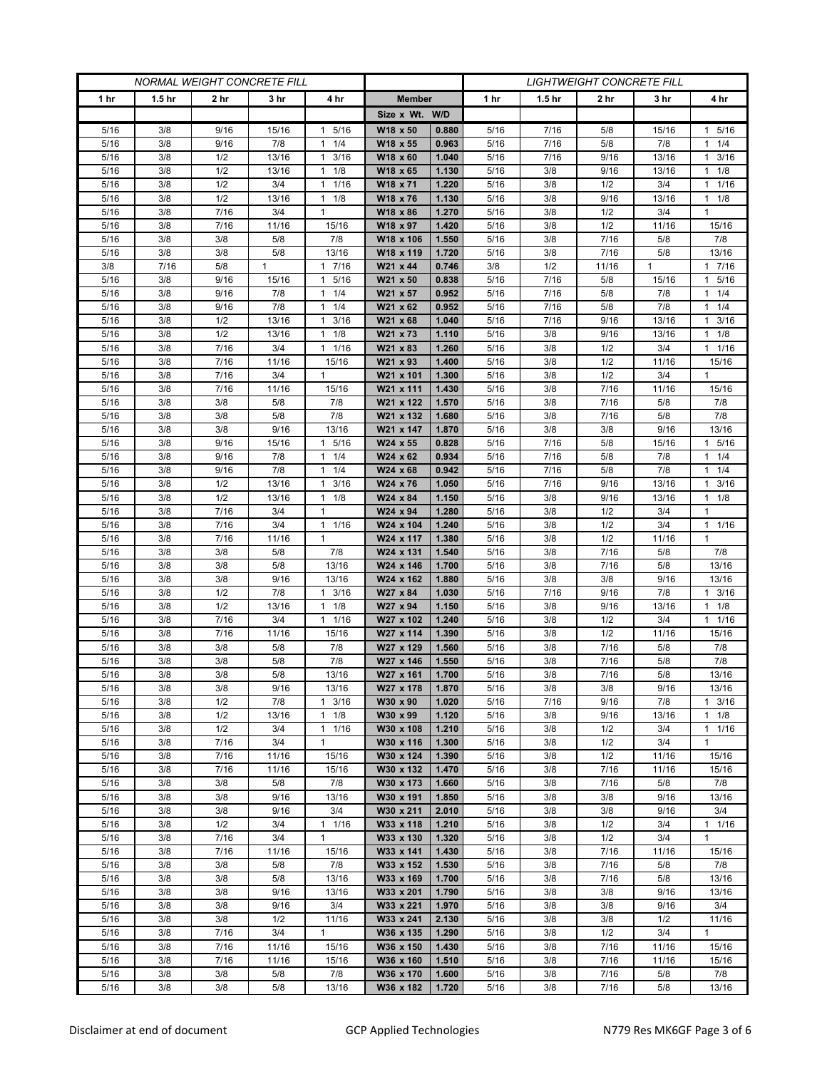| <b>NORMAL WEIGHT CONCRETE FILL</b> |                   |             | <b>LIGHTWEIGHT CONCRETE FILL</b> |                      |                        |                |                 |                   |              |              |                      |
|------------------------------------|-------------------|-------------|----------------------------------|----------------------|------------------------|----------------|-----------------|-------------------|--------------|--------------|----------------------|
| 1 <sub>hr</sub>                    | 1.5 <sub>hr</sub> | 2 hr        | 3 hr                             | 4 hr                 | <b>Member</b>          |                | 1 <sub>hr</sub> | 1.5 <sub>hr</sub> | 2 hr         | 3 hr         | 4 hr                 |
|                                    |                   |             |                                  |                      | Size x Wt. W/D         |                |                 |                   |              |              |                      |
| 5/16                               | 3/8               | 9/16        | 15/16                            | 5/16<br>1            | W18 x 50               | 0.880          | 5/16            | 7/16              | 5/8          | 15/16        | 1 5/16               |
| 5/16                               | 3/8               | 9/16        | 7/8                              | 1/4<br>1             | W18 x 55               | 0.963          | 5/16            | 7/16              | 5/8          | 7/8          | $1 \t1/4$            |
| 5/16                               | 3/8               | 1/2         | 13/16                            | 3/16<br>$\mathbf{1}$ | W18 x 60               | 1.040          | 5/16            | 7/16              | 9/16         | 13/16        | 3/16<br>$\mathbf{1}$ |
| 5/16                               | 3/8               | 1/2         | 13/16                            | 1/8<br>1             | W18 x 65               | 1.130          | 5/16            | 3/8               | 9/16         | 13/16        | $1 \t1/8$            |
| 5/16                               | 3/8               | 1/2         | 3/4                              | 1/16<br>$\mathbf{1}$ | W18 x 71               | 1.220          | 5/16            | 3/8               | 1/2          | 3/4          | $1 \t1/16$           |
| 5/16                               | 3/8               | 1/2         | 13/16                            | 1/8<br>$\mathbf{1}$  | W18 x 76               | 1.130          | 5/16            | 3/8               | 9/16         | 13/16        | $1 \t1/8$            |
| 5/16                               | 3/8               | 7/16        | 3/4                              | 1                    | W18 x 86               | 1.270          | 5/16            | 3/8               | 1/2          | 3/4          | 1                    |
| 5/16                               | 3/8               | 7/16        | 11/16                            | 15/16                | W18 x 97               | 1.420          | 5/16            | 3/8               | 1/2          | 11/16        | 15/16                |
| 5/16                               | 3/8               | 3/8         | 5/8                              | 7/8                  | W18 x 106              | 1.550          | 5/16            | 3/8               | 7/16         | 5/8          | 7/8                  |
| 5/16                               | 3/8               | 3/8         | 5/8                              | 13/16                | W18 x 119              | 1.720          | 5/16            | 3/8               | 7/16         | 5/8          | 13/16                |
| 3/8                                | 7/16              | 5/8         | $\mathbf{1}$                     | 7/16<br>1            | W21 x 44               | 0.746          | 3/8             | 1/2               | 11/16        | $\mathbf{1}$ | 1 7/16               |
| 5/16                               | 3/8               | 9/16        | 15/16                            | 5/16<br>1            | W21 x 50               | 0.838          | 5/16            | 7/16              | 5/8          | 15/16        | 1 5/16               |
| 5/16                               | 3/8               | 9/16        | 7/8                              | 1/4<br>1             | W21 x 57               | 0.952          | 5/16            | 7/16              | 5/8          | 7/8          | $1 \t1/4$            |
| 5/16                               | 3/8               | 9/16        | 7/8                              | 1/4<br>$\mathbf{1}$  | W21 x 62               | 0.952          | 5/16            | 7/16              | 5/8          | 7/8          | 11/4                 |
| 5/16                               | 3/8               | 1/2         | 13/16                            | 3/16<br>1            | W21 x 68               | 1.040          | 5/16            | 7/16              | 9/16         | 13/16        | $1 \t3/16$           |
| 5/16                               | 3/8               | 1/2         | 13/16                            | 1/8<br>1             | W21 x 73               | 1.110          | 5/16            | 3/8               | 9/16         | 13/16        | $1 \t1/8$            |
| 5/16                               | 3/8               | 7/16        | 3/4                              | 1/16<br>$\mathbf{1}$ | W21 x 83               | 1.260          | 5/16            | 3/8               | 1/2          | 3/4          | 11/16                |
| 5/16                               | 3/8               | 7/16        | 11/16                            | 15/16                | W21 x 93               | 1.400          | 5/16            | 3/8               | 1/2          | 11/16        | 15/16                |
| 5/16                               | 3/8               | 7/16        | 3/4                              | 1                    | W21 x 101              | 1.300          | 5/16            | 3/8               | 1/2          | 3/4          | 1                    |
| 5/16<br>5/16                       | 3/8<br>3/8        | 7/16<br>3/8 | 11/16<br>5/8                     | 15/16<br>7/8         | W21 x 111<br>W21 x 122 | 1.430<br>1.570 | 5/16<br>5/16    | 3/8<br>3/8        | 7/16<br>7/16 | 11/16<br>5/8 | 15/16<br>7/8         |
|                                    | 3/8               |             |                                  |                      |                        | 1.680          |                 |                   | 7/16         | 5/8          | 7/8                  |
| 5/16<br>5/16                       | 3/8               | 3/8<br>3/8  | 5/8<br>9/16                      | 7/8<br>13/16         | W21 x 132              | 1.870          | 5/16<br>5/16    | 3/8<br>3/8        | 3/8          | 9/16         | 13/16                |
| 5/16                               | 3/8               | 9/16        | 15/16                            | 5/16<br>$\mathbf{1}$ | W21 x 147<br>W24 x 55  | 0.828          | 5/16            | 7/16              | 5/8          | 15/16        | 1 5/16               |
| 5/16                               | 3/8               | 9/16        | 7/8                              | 1/4<br>$\mathbf{1}$  | W24 x 62               | 0.934          | 5/16            | 7/16              | 5/8          | 7/8          | 11/4                 |
| 5/16                               | 3/8               | 9/16        | 7/8                              | 1/4<br>$\mathbf{1}$  | W24 x 68               | 0.942          | 5/16            | 7/16              | 5/8          | 7/8          | $1 \t1/4$            |
| 5/16                               | 3/8               | 1/2         | 13/16                            | 3/16<br>$\mathbf{1}$ | W24 x 76               | 1.050          | 5/16            | 7/16              | 9/16         | 13/16        | $1 \t3/16$           |
| 5/16                               | 3/8               | 1/2         | 13/16                            | $\mathbf{1}$<br>1/8  | W24 x 84               | 1.150          | 5/16            | 3/8               | 9/16         | 13/16        | $1 \t1/8$            |
| 5/16                               | 3/8               | 7/16        | 3/4                              | $\mathbf{1}$         | W24 x 94               | 1.280          | 5/16            | 3/8               | 1/2          | 3/4          | $\mathbf{1}$         |
| 5/16                               | 3/8               | 7/16        | 3/4                              | 1/16<br>$\mathbf{1}$ | W24 x 104              | 1.240          | 5/16            | 3/8               | 1/2          | 3/4          | $1 \t1/16$           |
| 5/16                               | 3/8               | 7/16        | 11/16                            | $\mathbf{1}$         | W24 x 117              | 1.380          | 5/16            | 3/8               | 1/2          | 11/16        | $\mathbf{1}$         |
| 5/16                               | 3/8               | 3/8         | 5/8                              | 7/8                  | W24 x 131              | 1.540          | 5/16            | 3/8               | 7/16         | 5/8          | 7/8                  |
| 5/16                               | 3/8               | 3/8         | 5/8                              | 13/16                | W24 x 146              | 1.700          | 5/16            | 3/8               | 7/16         | 5/8          | 13/16                |
| 5/16                               | 3/8               | 3/8         | 9/16                             | 13/16                | W24 x 162              | 1.880          | 5/16            | 3/8               | 3/8          | 9/16         | 13/16                |
| 5/16                               | 3/8               | 1/2         | 7/8                              | 3/16<br>1            | W27 x 84               | 1.030          | 5/16            | 7/16              | 9/16         | 7/8          | $1 \t3/16$           |
| 5/16                               | 3/8               | 1/2         | 13/16                            | 1/8<br>$\mathbf{1}$  | W27 x 94               | 1.150          | 5/16            | 3/8               | 9/16         | 13/16        | $1 \t1/8$            |
| 5/16                               | 3/8               | 7/16        | 3/4                              | $1 \t1/16$           | W27 x 102              | 1.240          | 5/16            | 3/8               | 1/2          | 3/4          | $1 \t1/16$           |
| 5/16                               | 3/8               | 7/16        | 11/16                            | 15/16                | W27 x 114              | 1.390          | 5/16            | 3/8               | 1/2          | 11/16        | 15/16                |
| 5/16                               | 3/8               | 3/8         | 5/8                              | 7/8                  | W27 x 129              | 1.560          | 5/16            | 3/8               | 7/16         | 5/8          | 7/8                  |
| 5/16                               | 3/8               | 3/8         | 5/8                              | 7/8                  | W27 x 146              | 1.550          | 5/16            | 3/8               | 7/16         | 5/8          | 7/8                  |
| 5/16                               | 3/8               | 3/8         | 5/8                              | 13/16                | W27 x 161              | 1.700          | 5/16            | 3/8               | 7/16         | 5/8          | 13/16                |
| 5/16                               | 3/8               | 3/8         | 9/16                             | 13/16                | W27 x 178              | 1.870          | 5/16            | 3/8               | 3/8          | 9/16         | 13/16                |
| 5/16                               | 3/8               | 1/2         | 7/8                              | $1 \t3/16$           | W30 x 90               | 1.020          | 5/16            | 7/16              | 9/16         | 7/8          | $1 \t3/16$           |
| 5/16                               | 3/8               | 1/2         | 13/16                            | 1/8<br>$\mathbf{1}$  | W30 x 99               | 1.120          | 5/16            | 3/8               | 9/16         | 13/16        | $1 \t1/8$            |
| 5/16                               | 3/8               | 1/2         | 3/4                              | 1/16<br>$\mathbf{1}$ | W30 x 108              | 1.210          | 5/16            | 3/8               | 1/2          | 3/4          | $1 \t1/16$           |
| 5/16                               | 3/8               | 7/16        | 3/4                              | $\mathbf{1}$         | W30 x 116              | 1.300          | 5/16            | 3/8               | 1/2          | 3/4          | $\mathbf{1}$         |
| 5/16                               | 3/8               | 7/16        | 11/16                            | 15/16                | W30 x 124              | 1.390          | 5/16            | 3/8               | 1/2          | 11/16        | 15/16                |
| 5/16                               | 3/8<br>3/8        | 7/16        | 11/16                            | 15/16<br>7/8         | W30 x 132<br>W30 x 173 | 1.470<br>1.660 | 5/16            | 3/8               | 7/16<br>7/16 | 11/16        | 15/16<br>7/8         |
| 5/16<br>5/16                       | 3/8               | 3/8<br>3/8  | 5/8<br>9/16                      | 13/16                | W30 x 191              | 1.850          | 5/16<br>5/16    | 3/8<br>3/8        | 3/8          | 5/8<br>9/16  | 13/16                |
| 5/16                               | 3/8               | 3/8         | 9/16                             | 3/4                  | W30 x 211              | 2.010          | 5/16            | 3/8               | 3/8          | 9/16         | 3/4                  |
| 5/16                               | 3/8               | 1/2         | 3/4                              | $1 \t1/16$           | W33 x 118              | 1.210          | 5/16            | 3/8               | 1/2          | 3/4          | 11/16                |
| 5/16                               | 3/8               | 7/16        | 3/4                              | $\mathbf{1}$         | W33 x 130              | 1.320          | 5/16            | 3/8               | 1/2          | 3/4          | $\mathbf{1}$         |
| $5/16$                             | 3/8               | 7/16        | 11/16                            | 15/16                | W33 x 141              | 1.430          | 5/16            | 3/8               | 7/16         | 11/16        | 15/16                |
| 5/16                               | 3/8               | 3/8         | 5/8                              | 7/8                  | W33 x 152              | 1.530          | 5/16            | 3/8               | 7/16         | 5/8          | 7/8                  |
| 5/16                               | 3/8               | 3/8         | 5/8                              | 13/16                | W33 x 169              | 1.700          | 5/16            | 3/8               | 7/16         | 5/8          | 13/16                |
| 5/16                               | 3/8               | 3/8         | 9/16                             | 13/16                | W33 x 201              | 1.790          | 5/16            | 3/8               | 3/8          | 9/16         | 13/16                |
| 5/16                               | 3/8               | 3/8         | 9/16                             | 3/4                  | W33 x 221              | 1.970          | 5/16            | 3/8               | 3/8          | 9/16         | 3/4                  |
| 5/16                               | 3/8               | 3/8         | 1/2                              | 11/16                | W33 x 241              | 2.130          | 5/16            | 3/8               | 3/8          | 1/2          | 11/16                |
| 5/16                               | 3/8               | 7/16        | 3/4                              | $\mathbf{1}$         | W36 x 135              | 1.290          | 5/16            | 3/8               | 1/2          | 3/4          | $\mathbf{1}$         |
| 5/16                               | 3/8               | 7/16        | 11/16                            | 15/16                | W36 x 150              | 1.430          | 5/16            | 3/8               | 7/16         | 11/16        | 15/16                |
| 5/16                               | 3/8               | 7/16        | 11/16                            | 15/16                | W36 x 160              | 1.510          | 5/16            | 3/8               | 7/16         | 11/16        | 15/16                |
| 5/16                               | 3/8               | 3/8         | 5/8                              | 7/8                  | W36 x 170              | 1.600          | 5/16            | 3/8               | 7/16         | $5/8$        | 7/8                  |
| $5/16$                             | 3/8               | 3/8         | 5/8                              | 13/16                | W36 x 182              | 1.720          | 5/16            | 3/8               | 7/16         | $5/8$        | 13/16                |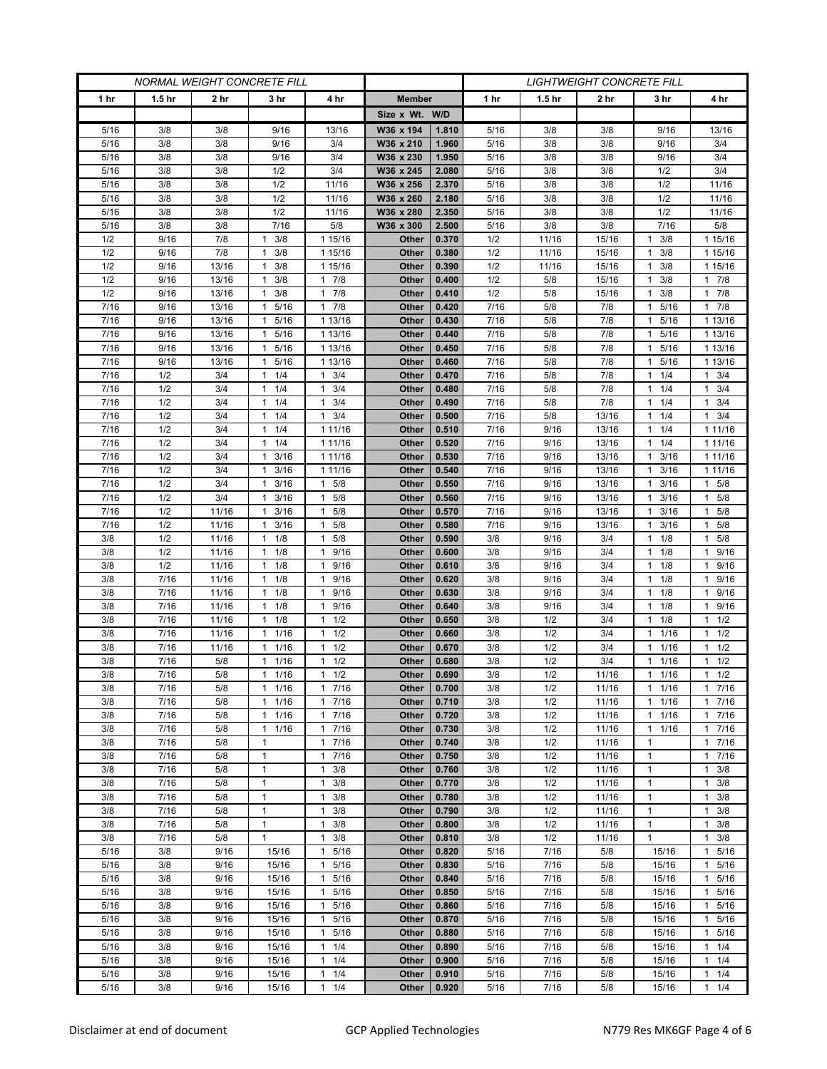| <b>NORMAL WEIGHT CONCRETE FILL</b> |                   |                |                                      |                                   | <b>LIGHTWEIGHT CONCRETE FILL</b> |                |              |                   |                |                         |                              |
|------------------------------------|-------------------|----------------|--------------------------------------|-----------------------------------|----------------------------------|----------------|--------------|-------------------|----------------|-------------------------|------------------------------|
| 1 <sub>hr</sub>                    | 1.5 <sub>hr</sub> | 2 hr           | 3 hr                                 | 4 hr                              | <b>Member</b>                    |                | 1 hr         | 1.5 <sub>hr</sub> | 2 hr           | 3 hr                    | 4 hr                         |
|                                    |                   |                |                                      |                                   | Size x Wt. W/D                   |                |              |                   |                |                         |                              |
| 5/16                               | 3/8               | 3/8            | 9/16                                 | 13/16                             | W36 x 194                        | 1.810          | 5/16         | 3/8               | 3/8            | 9/16                    | 13/16                        |
| 5/16                               | 3/8               | 3/8            | 9/16                                 | 3/4                               | W36 x 210                        | 1.960          | 5/16         | 3/8               | 3/8            | 9/16                    | 3/4                          |
| 5/16                               | 3/8               | 3/8            | 9/16                                 | 3/4                               | W36 x 230                        | 1.950          | 5/16         | 3/8               | 3/8            | 9/16                    | 3/4                          |
| 5/16                               | 3/8               | 3/8            | 1/2                                  | 3/4                               | W36 x 245                        | 2.080          | 5/16         | 3/8               | 3/8            | 1/2                     | 3/4                          |
| 5/16                               | 3/8               | 3/8            | 1/2                                  | 11/16                             | W36 x 256                        | 2.370          | 5/16         | 3/8               | 3/8            | 1/2                     | 11/16                        |
| 5/16                               | 3/8               | 3/8            | 1/2                                  | 11/16                             | W36 x 260                        | 2.180          | 5/16         | 3/8               | 3/8            | 1/2                     | 11/16                        |
| 5/16                               | 3/8               | 3/8            | 1/2                                  | 11/16                             | W36 x 280                        | 2.350          | 5/16         | 3/8               | 3/8            | 1/2                     | 11/16                        |
| 5/16                               | 3/8               | 3/8            | 7/16                                 | 5/8                               | W36 x 300                        | 2.500          | 5/16         | 3/8               | 3/8            | 7/16                    | 5/8                          |
| 1/2                                | 9/16              | 7/8            | 3/8<br>1                             | 1 15/16                           | Other                            | 0.370          | 1/2          | 11/16             | 15/16          | 3/8<br>1                | 1 15/16                      |
| 1/2                                | 9/16              | 7/8            | 3/8<br>1                             | 1 15/16                           | Other                            | 0.380          | 1/2          | 11/16             | 15/16          | 3/8<br>1                | 1 15/16                      |
| 1/2<br>1/2                         | 9/16<br>9/16      | 13/16<br>13/16 | 3/8<br>-1<br>3/8<br>1                | 1 15/16<br>7/8<br>1               | Other<br>Other                   | 0.390<br>0.400 | 1/2<br>1/2   | 11/16<br>5/8      | 15/16<br>15/16 | 3/8<br>1<br>3/8         | 1 15/16<br>17/8              |
| 1/2                                | 9/16              | 13/16          | 3/8<br>1                             | 7/8<br>1                          | Other                            | 0.410          | 1/2          | 5/8               | 15/16          | 3/8<br>1                | 17/8                         |
| 7/16                               | 9/16              | 13/16          | 5/16<br>1                            | 7/8<br>$\mathbf{1}$               | Other                            | 0.420          | 7/16         | 5/8               | 7/8            | 5/16<br>1               | 17/8                         |
| 7/16                               | 9/16              | 13/16          | 5/16<br>1                            | 1 13/16                           | Other                            | 0.430          | 7/16         | 5/8               | 7/8            | 5/16                    | 1 13/16                      |
| 7/16                               | 9/16              | 13/16          | 5/16<br>1                            | 1 13/16                           | Other                            | 0.440          | 7/16         | 5/8               | 7/8            | 5/16<br>1               | 1 13/16                      |
| 7/16                               | 9/16              | 13/16          | 5/16<br>$\mathbf{1}$                 | 1 13/16                           | Other                            | 0.450          | 7/16         | 5/8               | 7/8            | 5/16<br>1               | 1 13/16                      |
| 7/16                               | 9/16              | 13/16          | 1 5/16                               | 1 13/16                           | Other                            | 0.460          | 7/16         | 5/8               | 7/8            | 5/16<br>$\mathbf{1}$    | 1 13/16                      |
| 7/16                               | 1/2               | 3/4            | $1 \t1/4$                            | 3/4<br>1                          | Other                            | 0.470          | 7/16         | 5/8               | 7/8            | 1/4<br>1.               | $1 \t3/4$                    |
| 7/16                               | 1/2               | 3/4            | 1/4<br>1                             | 3/4<br>$\mathbf{1}$               | Other                            | 0.480          | 7/16         | 5/8               | 7/8            | 1/4<br>1                | 3/4<br>$\mathbf{1}$          |
| 7/16                               | 1/2               | 3/4            | $1 \t1/4$                            | 3/4<br>$\mathbf{1}$               | Other                            | 0.490          | 7/16         | 5/8               | 7/8            | 1/4<br>1                | $1 \t3/4$                    |
| 7/16                               | 1/2               | 3/4            | $1 \t1/4$                            | 3/4<br>1                          | Other                            | 0.500          | 7/16         | 5/8               | 13/16          | $1 \t1/4$               | $1 \t3/4$                    |
| 7/16                               | 1/2               | 3/4            | 1/4<br>1                             | 1 11/16                           | Other                            | 0.510          | 7/16         | 9/16              | 13/16          | 1/4                     | 1 11/16                      |
| 7/16                               | 1/2               | 3/4            | 1/4<br>$\mathbf{1}$                  | 1 11/16                           | Other                            | 0.520          | 7/16         | 9/16              | 13/16          | 1/4<br>1                | 1 11/16                      |
| 7/16                               | 1/2               | 3/4            | 3/16<br>$\mathbf{1}$                 | 1 11/16                           | Other                            | 0.530          | 7/16         | 9/16              | 13/16          | 3/16<br>1               | 1 1 1 / 16                   |
| 7/16                               | 1/2               | 3/4            | 3/16<br>1                            | 1 11/16                           | Other                            | 0.540          | 7/16         | 9/16              | 13/16          | 3/16                    | 1 1 1 / 16                   |
| 7/16                               | 1/2               | 3/4            | 3/16<br>$\mathbf{1}$<br>$\mathbf{1}$ | 5/8<br>$\mathbf{1}$               | Other                            | 0.550          | 7/16         | 9/16              | 13/16          | 3/16<br>1               | 1 5/8                        |
| 7/16<br>7/16                       | 1/2<br>1/2        | 3/4<br>11/16   | 3/16<br>3/16<br>-1                   | 5/8<br>1<br>5/8<br>1              | Other<br>Other                   | 0.560<br>0.570 | 7/16<br>7/16 | 9/16<br>9/16      | 13/16<br>13/16 | 3/16<br>1.<br>3/16<br>1 | 1 5/8<br>5/8<br>$\mathbf{1}$ |
| 7/16                               | 1/2               | 11/16          | 3/16<br>1                            | 5/8<br>$\mathbf{1}$               | Other                            | 0.580          | 7/16         | 9/16              | 13/16          | 3/16<br>1               | 1 5/8                        |
| 3/8                                | 1/2               | 11/16          | $1 \t1/8$                            | 5/8<br>$\mathbf{1}$               | Other                            | 0.590          | 3/8          | 9/16              | 3/4            | 1/8<br>1.               | 1 5/8                        |
| 3/8                                | 1/2               | 11/16          | 1/8<br>$\mathbf{1}$                  | 9/16<br>1                         | Other                            | 0.600          | 3/8          | 9/16              | 3/4            | 1/8<br>1                | 1 9/16                       |
| 3/8                                | 1/2               | 11/16          | 1/8<br>$\mathbf{1}$                  | 9/16<br>$\mathbf{1}$              | Other                            | 0.610          | 3/8          | 9/16              | 3/4            | 1/8<br>1                | 1 9/16                       |
| 3/8                                | 7/16              | 11/16          | 1/8<br>$\mathbf{1}$                  | 9/16<br>$\mathbf{1}$              | <b>Other</b>                     | 0.620          | 3/8          | 9/16              | 3/4            | 1/8<br>1                | 9/16<br>$\mathbf{1}$         |
| 3/8                                | 7/16              | 11/16          | 1/8<br>$\mathbf{1}$                  | 9/16<br>$\mathbf{1}$              | Other                            | 0.630          | 3/8          | 9/16              | 3/4            | 1/8<br>1                | 1 9/16                       |
| 3/8                                | 7/16              | 11/16          | 1/8<br>$\mathbf{1}$                  | 9/16<br>$\mathbf{1}$              | Other                            | 0.640          | 3/8          | 9/16              | 3/4            | 1/8<br>1                | 1 9/16                       |
| 3/8                                | 7/16              | 11/16          | 1/8<br>$\mathbf{1}$                  | 1/2<br>$\mathbf{1}$               | Other                            | 0.650          | 3/8          | 1/2               | 3/4            | 1/8                     | $1 \t1/2$                    |
| 3/8                                | 7/16              | 11/16          | 1/16<br>1                            | 1/2<br>$\mathbf{1}$               | Other                            | 0.660          | 3/8          | 1/2               | 3/4            | 1/16<br>1               | 1/2<br>1                     |
| 3/8                                | 7/16              | 11/16          | 1/16<br>$\mathbf{1}$                 | 1/2<br>$\mathbf{1}$               | Other                            | 0.670          | 3/8          | 1/2               | 3/4            | 1/16<br>1               | $1 \t1/2$                    |
| 3/8                                | 7/16              | 5/8            | $\mathbf{1}$<br>1/16                 | 1/2<br>$\mathbf{1}$               | Other                            | 0.680          | 3/8          | 1/2               | 3/4            | 1/16                    | $1 \t1/2$                    |
| 3/8                                | 7/16              | 5/8            | 1/16<br>$\mathbf{1}$                 | 1/2<br>$\mathbf{1}$               | Other                            | 0.690          | 3/8          | 1/2               | 11/16          | 1/16<br>$\mathbf{1}$    | $1 \t1/2$                    |
| 3/8                                | 7/16              | 5/8            | $1 \t1/16$                           | 17/16                             | Other                            | 0.700          | 3/8          | 1/2               | 11/16          | 1 1/16                  | 17/16                        |
| 3/8<br>3/8                         | 7/16<br>7/16      | 5/8<br>5/8     | 11/16<br>11/16                       | 7/16<br>$\mathbf{1}$<br>7/16<br>1 | Other<br>Other                   | 0.710<br>0.720 | 3/8<br>3/8   | 1/2<br>1/2        | 11/16<br>11/16 | $1 \t1/16$<br>1/16<br>1 | 17/16<br>17/16               |
| 3/8                                | 7/16              | 5/8            | 1/16<br>$\mathbf{1}$                 | 7/16<br>$\mathbf{1}$              | Other                            | 0.730          | 3/8          | 1/2               | 11/16          | 1/16<br>1               | 17/16                        |
| 3/8                                | 7/16              | 5/8            | $\mathbf{1}$                         | 7/16<br>$\mathbf{1}$              | Other                            | 0.740          | 3/8          | 1/2               | 11/16          | $\mathbf{1}$            | 17/16                        |
| 3/8                                | 7/16              | 5/8            | 1                                    | 7/16<br>1                         | Other                            | 0.750          | 3/8          | 1/2               | 11/16          | $\mathbf{1}$            | 17/16                        |
| 3/8                                | 7/16              | 5/8            | $\mathbf{1}$                         | 3/8<br>$\mathbf{1}$               | Other                            | 0.760          | 3/8          | 1/2               | 11/16          | 1                       | $1 \t3/8$                    |
| 3/8                                | $7/16$            | 5/8            | $\mathbf{1}$                         | 3/8<br>$\mathbf{1}$               | Other                            | 0.770          | 3/8          | 1/2               | 11/16          | $\mathbf{1}$            | $1 \t3/8$                    |
| 3/8                                | 7/16              | 5/8            | 1                                    | 3/8<br>1                          | Other                            | 0.780          | 3/8          | 1/2               | 11/16          | 1                       | $1 \t3/8$                    |
| 3/8                                | 7/16              | 5/8            | $\mathbf{1}$                         | 3/8<br>$\mathbf{1}$               | Other                            | 0.790          | 3/8          | 1/2               | 11/16          | $\mathbf{1}$            | 3/8<br>$\mathbf{1}$          |
| 3/8                                | 7/16              | 5/8            | $\mathbf{1}$                         | 3/8<br>$\mathbf{1}$               | Other                            | 0.800          | 3/8          | 1/2               | 11/16          | $\mathbf{1}$            | $1 \t3/8$                    |
| 3/8                                | 7/16              | 5/8            | $\mathbf{1}$                         | 3/8<br>$\mathbf{1}$               | Other                            | 0.810          | 3/8          | 1/2               | 11/16          | $\mathbf{1}$            | $1 \t3/8$                    |
| 5/16                               | 3/8               | 9/16           | 15/16                                | 5/16<br>1                         | Other                            | 0.820          | 5/16         | 7/16              | 5/8            | 15/16                   | 5/16<br>$\mathbf{1}$         |
| 5/16                               | 3/8               | 9/16           | 15/16                                | 5/16<br>$\mathbf{1}$              | Other                            | 0.830          | 5/16         | 7/16              | $5/8$          | 15/16                   | 5/16<br>$\mathbf{1}$         |
| 5/16                               | 3/8               | 9/16           | 15/16                                | 5/16<br>$\mathbf{1}$              | Other                            | 0.840          | 5/16         | 7/16              | 5/8            | 15/16                   | 1 5/16                       |
| 5/16                               | 3/8               | 9/16           | 15/16                                | 5/16<br>$\mathbf{1}$              | Other                            | 0.850          | 5/16         | 7/16              | 5/8            | 15/16                   | 1 5/16                       |
| 5/16<br>5/16                       | 3/8<br>3/8        | 9/16<br>9/16   | 15/16<br>15/16                       | 5/16<br>1<br>5/16<br>$\mathbf{1}$ | Other<br>Other                   | 0.860<br>0.870 | 5/16<br>5/16 | 7/16<br>7/16      | 5/8<br>5/8     | 15/16<br>15/16          | 1 5/16<br>1 5/16             |
| 5/16                               | 3/8               | 9/16           | 15/16                                | 5/16<br>$\mathbf{1}$              | Other                            | 0.880          | $5/16$       | 7/16              | 5/8            | 15/16                   | 1 5/16                       |
| 5/16                               | 3/8               | 9/16           | 15/16                                | 1/4<br>$\mathbf{1}$               | Other                            | 0.890          | 5/16         | 7/16              | 5/8            | 15/16                   | 11/4                         |
| 5/16                               | 3/8               | 9/16           | 15/16                                | 1<br>1/4                          | Other                            | 0.900          | 5/16         | 7/16              | 5/8            | 15/16                   | $1 \t1/4$                    |
| 5/16                               | 3/8               | 9/16           | 15/16                                | 1/4<br>1                          | Other                            | 0.910          | 5/16         | 7/16              | 5/8            | 15/16                   | $1 \t1/4$                    |
| 5/16                               | 3/8               | 9/16           | 15/16                                | 1/4<br>$\mathbf{1}$               | Other                            | 0.920          | 5/16         | 7/16              | 5/8            | 15/16                   | 11/4                         |
|                                    |                   |                |                                      |                                   |                                  |                |              |                   |                |                         |                              |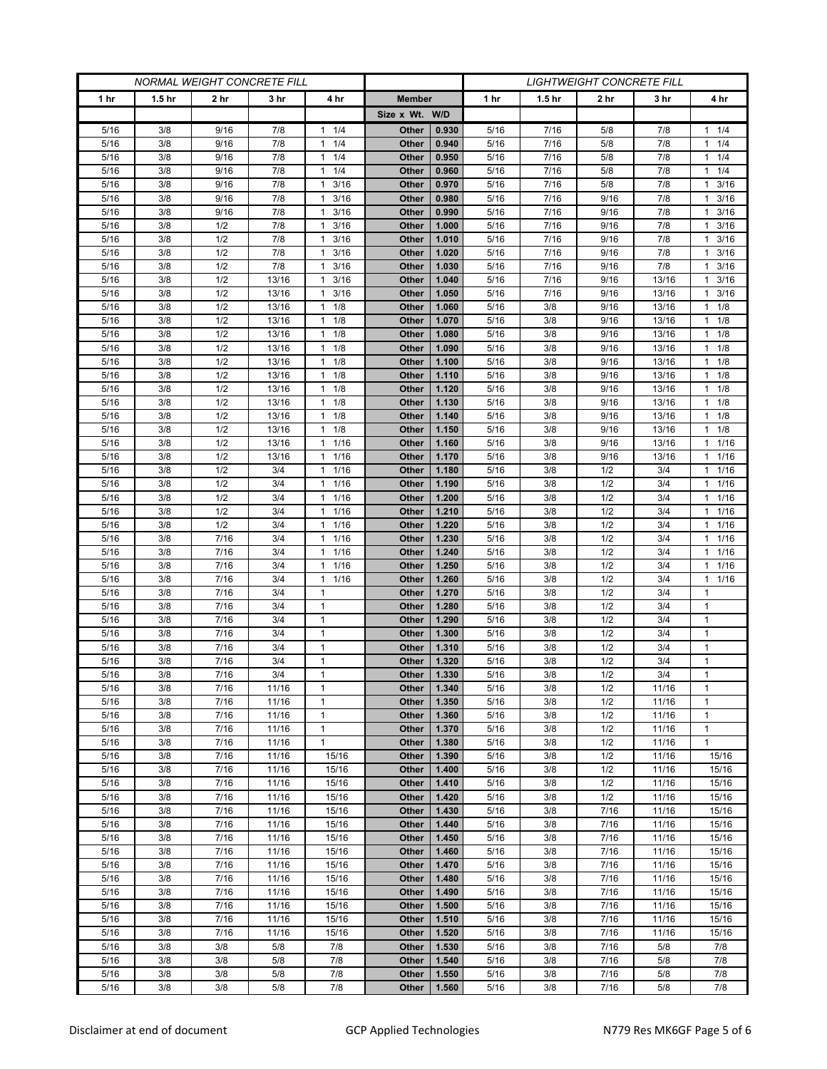| <b>NORMAL WEIGHT CONCRETE FILL</b> |                   |              | <i>LIGHTWEIGHT CONCRETE FILL</i> |                                   |                |                |              |                   |              |                |                         |
|------------------------------------|-------------------|--------------|----------------------------------|-----------------------------------|----------------|----------------|--------------|-------------------|--------------|----------------|-------------------------|
| 1 <sub>hr</sub>                    | 1.5 <sub>hr</sub> | 2 hr         | 3 hr                             | 4 hr                              | <b>Member</b>  |                | 1 hr         | 1.5 <sub>hr</sub> | 2 hr         | 3 hr           | 4 hr                    |
|                                    |                   |              |                                  |                                   | Size x Wt. W/D |                |              |                   |              |                |                         |
| 5/16                               | 3/8               | 9/16         | 7/8                              | 1/4<br>$\mathbf{1}$               | Other          | 0.930          | 5/16         | 7/16              | 5/8          | 7/8            | $1 \t1/4$               |
| 5/16                               | 3/8               | 9/16         | 7/8                              | 1/4<br>$\mathbf{1}$               | Other          | 0.940          | 5/16         | 7/16              | 5/8          | 7/8            | 11/4                    |
| 5/16                               | 3/8               | 9/16         | 7/8                              | 1/4<br>$\mathbf{1}$               | Other          | 0.950          | 5/16         | 7/16              | 5/8          | 7/8            | $1 \t1/4$               |
| 5/16                               | 3/8               | 9/16         | 7/8                              | 1/4<br>$\mathbf{1}$               | Other          | 0.960          | 5/16         | 7/16              | 5/8          | 7/8            | $1 \t1/4$               |
| 5/16                               | 3/8               | 9/16         | 7/8                              | 3/16<br>$\mathbf{1}$              | Other          | 0.970          | 5/16         | 7/16              | 5/8          | 7/8            | $1 \t3/16$              |
| 5/16                               | 3/8               | 9/16         | 7/8                              | 3/16<br>$\mathbf{1}$              | Other          | 0.980          | 5/16         | 7/16              | 9/16         | 7/8            | 3/16<br>$\mathbf{1}$    |
| 5/16                               | 3/8               | 9/16         | 7/8                              | 3/16<br>$\mathbf{1}$              | Other          | 0.990          | 5/16         | 7/16              | 9/16         | 7/8            | 3/16<br>1.              |
| 5/16                               | 3/8               | 1/2          | 7/8                              | 3/16<br>1                         | Other          | 1.000          | 5/16         | 7/16              | 9/16         | 7/8            | 3/16<br>$\mathbf{1}$    |
| 5/16                               | 3/8               | 1/2          | 7/8                              | 3/16<br>1                         | Other          | 1.010          | 5/16         | 7/16              | 9/16         | 7/8            | 3/16<br>$\mathbf{1}$    |
| 5/16                               | 3/8               | 1/2          | 7/8                              | 3/16<br>1                         | Other          | 1.020          | 5/16         | 7/16              | 9/16         | 7/8            | 3/16<br>1               |
| 5/16<br>5/16                       | 3/8<br>3/8        | 1/2<br>1/2   | 7/8<br>13/16                     | 3/16<br>1<br>3/16<br>1            | Other<br>Other | 1.030<br>1.040 | 5/16<br>5/16 | 7/16<br>7/16      | 9/16<br>9/16 | 7/8<br>13/16   | $1 \t3/16$<br>3/16<br>1 |
| 5/16                               | 3/8               | 1/2          | 13/16                            | 3/16<br>1                         | Other          | 1.050          | 5/16         | 7/16              | 9/16         | 13/16          | 3/16<br>1               |
| 5/16                               | 3/8               | 1/2          | 13/16                            | 1/8<br>$\mathbf{1}$               | Other          | 1.060          | 5/16         | 3/8               | 9/16         | 13/16          | $1 \t1/8$               |
| 5/16                               | 3/8               | 1/2          | 13/16                            | 1/8<br>1                          | Other          | 1.070          | 5/16         | 3/8               | 9/16         | 13/16          | $1 \t1/8$               |
| 5/16                               | 3/8               | 1/2          | 13/16                            | 1/8<br>$\mathbf{1}$               | Other          | 1.080          | 5/16         | 3/8               | 9/16         | 13/16          | $1 \t1/8$               |
| 5/16                               | 3/8               | 1/2          | 13/16                            | 1/8<br>$\mathbf{1}$               | Other          | 1.090          | 5/16         | 3/8               | 9/16         | 13/16          | $1 \t1/8$               |
| 5/16                               | 3/8               | 1/2          | 13/16                            | 1/8<br>$\mathbf{1}$               | Other          | 1.100          | 5/16         | 3/8               | 9/16         | 13/16          | $1 \t1/8$               |
| 5/16                               | 3/8               | 1/2          | 13/16                            | 1/8<br>1                          | Other          | 1.110          | 5/16         | 3/8               | 9/16         | 13/16          | $1 \t1/8$               |
| 5/16                               | 3/8               | 1/2          | 13/16                            | 1/8<br>1                          | Other          | 1.120          | 5/16         | 3/8               | 9/16         | 13/16          | $1 \t1/8$               |
| 5/16                               | 3/8               | 1/2          | 13/16                            | 1/8<br>$\mathbf{1}$               | Other          | 1.130          | 5/16         | 3/8               | 9/16         | 13/16          | $1 \t1/8$               |
| 5/16                               | 3/8               | 1/2          | 13/16                            | 1/8<br>1                          | Other          | 1.140          | 5/16         | 3/8               | 9/16         | 13/16          | $1 \t1/8$               |
| 5/16                               | 3/8               | 1/2          | 13/16                            | 1/8<br>$\mathbf{1}$               | Other          | 1.150          | 5/16         | 3/8               | 9/16         | 13/16          | 1/8<br>$\mathbf{1}$     |
| 5/16                               | 3/8               | 1/2          | 13/16                            | 1/16<br>$\mathbf{1}$              | Other          | 1.160          | 5/16         | 3/8               | 9/16         | 13/16          | 11/16                   |
| 5/16                               | 3/8               | 1/2          | 13/16                            | 1/16<br>1                         | Other          | 1.170          | 5/16         | 3/8               | 9/16         | 13/16          | $1 \t1/16$              |
| 5/16                               | 3/8               | 1/2          | 3/4                              | 1/16<br>$\mathbf{1}$              | Other          | 1.180          | 5/16         | 3/8               | 1/2          | 3/4            | $1 \t1/16$              |
| 5/16                               | 3/8               | 1/2          | 3/4                              | 1/16<br>$\mathbf{1}$              | Other          | 1.190          | 5/16         | 3/8               | 1/2          | 3/4            | 11/16                   |
| 5/16                               | 3/8               | 1/2          | 3/4                              | 1/16<br>$\mathbf{1}$              | Other          | 1.200          | 5/16         | 3/8               | 1/2          | 3/4            | 11/16                   |
| 5/16                               | 3/8               | 1/2          | 3/4                              | 1/16<br>1                         | Other          | 1.210          | 5/16         | 3/8               | 1/2          | 3/4            | $1 \t1/16$              |
| 5/16                               | 3/8               | 1/2          | 3/4                              | $\mathbf{1}$<br>1/16              | Other          | 1.220          | 5/16         | 3/8               | 1/2          | 3/4            | 11/16                   |
| 5/16                               | 3/8<br>3/8        | 7/16         | 3/4                              | 1/16<br>$\mathbf{1}$<br>1/16<br>1 | Other          | 1.230          | 5/16         | 3/8               | 1/2<br>1/2   | 3/4            | 11/16                   |
| 5/16<br>5/16                       | 3/8               | 7/16<br>7/16 | 3/4<br>3/4                       | 1/16<br>1                         | Other<br>Other | 1.240<br>1.250 | 5/16<br>5/16 | 3/8<br>3/8        | 1/2          | 3/4<br>3/4     | $1 \t1/16$<br>11/16     |
| 5/16                               | 3/8               | 7/16         | 3/4                              | 1/16<br>1                         | Other          | 1.260          | 5/16         | 3/8               | 1/2          | 3/4            | 11/16                   |
| 5/16                               | 3/8               | 7/16         | 3/4                              | 1                                 | Other          | 1.270          | 5/16         | 3/8               | 1/2          | 3/4            | 1                       |
| 5/16                               | 3/8               | 7/16         | 3/4                              | 1                                 | Other          | 1.280          | 5/16         | 3/8               | 1/2          | 3/4            | 1                       |
| 5/16                               | 3/8               | 7/16         | 3/4                              | 1                                 | Other          | 1.290          | 5/16         | 3/8               | 1/2          | 3/4            | $\mathbf{1}$            |
| 5/16                               | 3/8               | 7/16         | 3/4                              | 1                                 | Other          | 1.300          | 5/16         | 3/8               | 1/2          | 3/4            | 1                       |
| 5/16                               | 3/8               | 7/16         | 3/4                              | $\mathbf{1}$                      | Other          | 1.310          | 5/16         | 3/8               | 1/2          | 3/4            | 1                       |
| 5/16                               | 3/8               | 7/16         | 3/4                              | 1                                 | Other          | 1.320          | 5/16         | 3/8               | 1/2          | 3/4            | $\mathbf{1}$            |
| 5/16                               | 3/8               | $7/16$       | 3/4                              | $\mathbf{1}$                      | Other          | 1.330          | 5/16         | 3/8               | 1/2          | 3/4            | $\mathbf{1}$            |
| 5/16                               | 3/8               | 7/16         | 11/16                            | 1                                 | Other          | 1.340          | 5/16         | 3/8               | 1/2          | 11/16          | $\mathbf{1}$            |
| 5/16                               | 3/8               | 7/16         | 11/16                            | 1                                 | Other          | 1.350          | 5/16         | 3/8               | 1/2          | 11/16          | $\mathbf{1}$            |
| 5/16                               | 3/8               | 7/16         | 11/16                            | 1                                 | Other          | 1.360          | 5/16         | 3/8               | 1/2          | 11/16          | 1                       |
| 5/16                               | 3/8               | 7/16         | 11/16                            | $\mathbf{1}$                      | Other          | 1.370          | 5/16         | 3/8               | 1/2          | 11/16          | $\mathbf{1}$            |
| 5/16                               | 3/8               | 7/16         | 11/16                            | $\mathbf{1}$                      | Other          | 1.380          | 5/16         | 3/8               | 1/2          | 11/16          | $\mathbf{1}$            |
| 5/16                               | 3/8               | 7/16         | 11/16                            | 15/16                             | Other          | 1.390          | 5/16         | 3/8               | 1/2          | 11/16          | 15/16                   |
| 5/16                               | 3/8               | 7/16         | 11/16                            | 15/16                             | Other          | 1.400<br>1.410 | 5/16         | 3/8<br>3/8        | 1/2<br>1/2   | 11/16          | 15/16                   |
| 5/16<br>5/16                       | 3/8<br>3/8        | 7/16<br>7/16 | 11/16<br>11/16                   | 15/16<br>15/16                    | Other<br>Other | 1.420          | 5/16<br>5/16 | 3/8               | 1/2          | 11/16<br>11/16 | 15/16<br>15/16          |
| 5/16                               | 3/8               | 7/16         | 11/16                            | 15/16                             | Other          | 1.430          | 5/16         | 3/8               | 7/16         | 11/16          | 15/16                   |
| 5/16                               | 3/8               | 7/16         | 11/16                            | 15/16                             | Other          | 1.440          | 5/16         | 3/8               | 7/16         | 11/16          | 15/16                   |
| 5/16                               | 3/8               | 7/16         | 11/16                            | 15/16                             | Other          | 1.450          | 5/16         | 3/8               | 7/16         | 11/16          | 15/16                   |
| 5/16                               | 3/8               | 7/16         | 11/16                            | 15/16                             | Other          | 1.460          | 5/16         | 3/8               | 7/16         | 11/16          | 15/16                   |
| 5/16                               | 3/8               | 7/16         | 11/16                            | 15/16                             | Other          | 1.470          | 5/16         | 3/8               | 7/16         | 11/16          | 15/16                   |
| 5/16                               | 3/8               | 7/16         | 11/16                            | 15/16                             | Other          | 1.480          | 5/16         | 3/8               | 7/16         | 11/16          | 15/16                   |
| 5/16                               | 3/8               | 7/16         | 11/16                            | 15/16                             | Other          | 1.490          | 5/16         | 3/8               | 7/16         | 11/16          | 15/16                   |
| 5/16                               | 3/8               | 7/16         | 11/16                            | 15/16                             | Other          | 1.500          | 5/16         | 3/8               | 7/16         | 11/16          | 15/16                   |
| 5/16                               | 3/8               | 7/16         | 11/16                            | 15/16                             | Other          | 1.510          | 5/16         | 3/8               | 7/16         | 11/16          | 15/16                   |
| 5/16                               | 3/8               | 7/16         | 11/16                            | 15/16                             | Other          | 1.520          | 5/16         | 3/8               | 7/16         | 11/16          | 15/16                   |
| 5/16                               | 3/8               | 3/8          | 5/8                              | 7/8                               | Other          | 1.530          | 5/16         | 3/8               | 7/16         | 5/8            | 7/8                     |
| 5/16                               | 3/8               | 3/8          | 5/8                              | 7/8                               | Other          | 1.540          | 5/16         | 3/8               | 7/16         | 5/8            | 7/8                     |
| 5/16                               | 3/8               | 3/8          | 5/8                              | 7/8                               | Other          | 1.550          | 5/16         | 3/8               | 7/16         | 5/8            | 7/8                     |
| 5/16                               | 3/8               | 3/8          | 5/8                              | 7/8                               | Other          | 1.560          | 5/16         | 3/8               | 7/16         | 5/8            | 7/8                     |